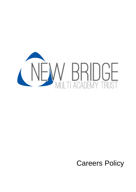

# Careers Policy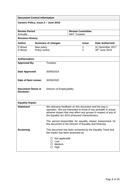| <b>Document Control Information</b>             |                             |                                                                                                                                                                                                                                            |                                                |                     |                                    |
|-------------------------------------------------|-----------------------------|--------------------------------------------------------------------------------------------------------------------------------------------------------------------------------------------------------------------------------------------|------------------------------------------------|---------------------|------------------------------------|
| Careers Policy, Issue 2 - June 2019             |                             |                                                                                                                                                                                                                                            |                                                |                     |                                    |
| <b>Review Period</b><br>Annually                |                             |                                                                                                                                                                                                                                            | <b>Review Committee</b><br><b>MAT Trustees</b> |                     |                                    |
| <b>Revision History</b>                         |                             |                                                                                                                                                                                                                                            |                                                |                     |                                    |
| <b>Author</b>                                   |                             | <b>Summary of changes</b>                                                                                                                                                                                                                  |                                                | <b>Issue</b>        | <b>Date Authorised</b>             |
| D Wood<br>D Wood                                | New policy<br>Policy review |                                                                                                                                                                                                                                            |                                                | 1<br>$\overline{2}$ | 31 December 2017<br>30th June 2019 |
| <b>Authorisation</b>                            |                             |                                                                                                                                                                                                                                            |                                                |                     |                                    |
| <b>Approved By:</b>                             |                             | <b>Trustees</b>                                                                                                                                                                                                                            |                                                |                     |                                    |
| Date Approved:                                  |                             | 30/06/2019                                                                                                                                                                                                                                 |                                                |                     |                                    |
| Date of Next review:                            |                             | 30/06/2020                                                                                                                                                                                                                                 |                                                |                     |                                    |
| <b>Document Owner &amp;</b><br><b>Reviewer:</b> |                             | <b>Director of Employability</b>                                                                                                                                                                                                           |                                                |                     |                                    |
| <b>Equality Impact</b>                          |                             |                                                                                                                                                                                                                                            |                                                |                     |                                    |
| <b>Statement</b>                                |                             | We welcome feedback on this document and the way it<br>operates. We are interested to know of any possible or actual<br>adverse impact that may affect any groups in respect of any of<br>the Equality Act 2010 protected characteristics. |                                                |                     |                                    |
|                                                 |                             | The person responsible for equality impact assessment for<br>this document is the Director of Equality and Diversity.                                                                                                                      |                                                |                     |                                    |
| <b>Screening</b>                                |                             | This document has been screened by the Equality Team and<br>the impact has been assessed as:                                                                                                                                               |                                                |                     |                                    |
|                                                 |                             | $\Box$ Not applicable<br>$\square$ Low<br>$\Box$ Medium<br>$\Box$ High                                                                                                                                                                     |                                                |                     |                                    |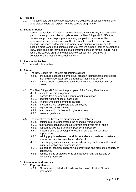# **1. Purpose**

1.1. This policy sets out how career activities are delivered at school and explains what stakeholders can expect from the careers programme.

# **2. Scope of Policy**

2.1. Careers education, information, advice and guidance (CEIAG) is an essential part of the support we offer to pupils across the New Bridge MAT. Effective careers support can help to prepare young people for the opportunities, responsibilities and experiences of life; it can help them to make decisions and manage transitions as learners and workers. As options for young people become more varied and complex, it is vital that we support them to develop the knowledge and skills they need to make informed choices for their future. As a result, the careers programme has a whole-school remit designed to complement the rest of the school curriculum.

# **3. Reason for Review**

3.1. Annual policy review

# **4. Aim(s)**

- 4.1. The New Bridge MAT careers programme aims to:
	- *4.1.1.* encourage pupils to be ambitious, broaden their horizons and explore their own career aspirations throughout their life at school
	- *4.1.2.* ensure pupils' readiness to take their next step in their learning or career.
- 4.2. The New Bridge MAT follows the principles of the Gatsby Benchmarks:
	- *4.2.1.* a stable careers programme
	- *4.2.2.* learning from career and labour market information
	- *4.2.3.* addressing the needs of each pupil
	- *4.2.4.* linking curriculum learning to careers
	- *4.2.5.* encounters with employers and employees
	- *4.2.6.* experiences of workplaces
	- *4.2.7.* encounters with further and higher education
	- *4.2.8.* personal guidance
- 4.3. The objectives for the careers programme are as follows:
	- *4.3.1.* helping pupils to understand the changing world of work
	- *4.3.2.* facilitating meaningful encounters with employers for all pupils
	- *4.3.3.* supporting positive transitions post-16 and post-19
	- *4.3.4.* enabling pupils to develop the research skills to find out about opportunities
	- *4.3.5.* helping pupils to develop the skills, attitudes and qualities to make a successful transition into the world of work
	- *4.3.6.* encouraging participation in continued learning, including further and higher education and apprenticeships
	- *4.3.7.* supporting inclusion, challenging stereotyping and promoting equality of opportunity
	- *4.3.8.* contributing to strategies for raising achievement, particularly by increasing motivation.

# **5. Procedures and practice**

# 5.1. **Pupil entitlement**

*5.1.1.* All pupils are entitled to be fully involved in an effective CEIAG programme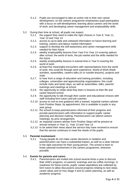- *5.1.2.* Pupils are encouraged to take an active role in their own career development, so the careers programme emphasises pupil participation with a focus on self-development; learning about careers and the world of work; and developing career management and employability skills.
- 5.2. During their time at school, all pupils can expect:
	- *5.2.1.* the support they need to make the right choices in Year 8, Year 11, Year 13 and Year 14
	- *5.2.2.* access to up-to-date and unbiased information on future learning and training, careers and labour market information
	- *5.2.3.* support to develop the self-awareness and career management skills needed for their future
	- *5.2.4.* weekly employability lessons from Year 9 to Year 14 covering options after school, the world of work, the job market and the skills needed for the future
	- *5.2.5.* weekly employability lessons in tutorial time in Year 8 covering the world of work
	- *5.2.6.* at least five meaningful encounters with representatives from the world of work; this could be through work experience, World of Work Week activities, assemblies, careers talks (in or outside lessons), projects and visits
	- *5.2.7.* to hear from a range of education and training providers, including colleges, universities and apprenticeship organisations; this could include visits and taster days, as well as assemblies, talks, parents' evenings and meetings at school
	- *5.2.8.* the opportunity to relate what they learn in lessons to their life and career beyond school
	- *5.2.9.* the opportunity to talk through their career and educational choices with staff including form tutors and job coaches
	- *5.2.10.* access to one-to-one guidance with a trained, impartial careers adviser from Positive Steps, by appointment; this is available to pupils in any year group
	- *5.2.11.* the school to keep parents/carers informed of their progress and provide parents/carers with information to support pupils' career planning and decision-making. Parents/carers can attend careers meetings, by prior arrangement.
	- *5.2.12.* an impartial careers adviser from Positive Steps will be present at annual reviews in Year 11, Year 13 and Year 14.
	- *5.2.13.* to be asked their views about the service they have received to ensure that the service continues to meet the needs of the pupils.

# 5.3. **Parental involvement**

*5.3.1.* Young people do not make career decisions in isolation and parents/carers can have a substantial impact, as well as a clear interest in the right outcomes for their young person. The school is keen to foster parental involvement in the careers programme, wherever possible.

# 5.4. **Events for parents and carers**

*5.4.1.* Parents/carers are invited into school several times a year to discuss their child's progress, on parents' evenings and via coffee mornings. In readiness for these events, pupils' career aspirations are collected by form tutors to allow discussions around progress relating to next steps, career ideas and (in Key Stage 4 and 5) career planning, as well as academic progress.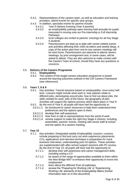- *5.4.2.* Representatives of the careers team, as well as education and training providers, attend events for specific year groups.
- *5.4.3.* In addition, specialist events for parents include:
	- Year 9 Options Evening (Year 9 parents)
	- *5.4.3.2.* an employability pathway open evening held annually for pupils interested in moving onto our Pre-Internship or Full Internship Pathways.
	- *5.4.3.3.* local colleges are invited to parents' evenings for all Key Stage 5 students
	- *5.4.3.4.* Parents/carers are kept up to date with career-related events and activities affecting their child via letters and weekly blogs. A copy of the action plan from one-to-one careers meetings will be sent home. Parents/carers are welcome to attend careers meetings, by prior arrangement and, in some cases, will be asked to attend. They are also welcome to make contact with the Careers Team at school, should they have any questions or concerns.

# 5.5. **Delivery of the Careers Programme**

# *5.5.1.* **Employability**

*5.5.2.* The content of the taught careers education programme is based around the learning outcomes outlined in the CDI Careers Framework (see references).

# 5.6. **Years 7, 8 & 9**

- *5.6.1.* Key activities: Tutorial sessions based on employability- once every half term. Lessons might include what work is, how salaries relate to different jobs, stereotyping around jobs, how to find out about jobs, the skills needed for work, jobs of the future, the geography of jobs. Activities will support the options process which takes place in Year 9.
- *5.6.2.* By the end of Year 9, all pupils will have had the opportunity to:
	- *5.6.2.1.1.* be introduced to career resources to help them understand their preferences and the options open to them.
	- *5.6.2.1.2.* develop their self-awareness
	- *5.6.2.1.3.* hear from or talk to representatives from the world of work
	- *5.6.2.1.4.* receive support to make the right Key Stage 4 choices, including assemblies, parents' events, meeting with senior staff at school and the option of a careers meeting.

# 5.7. **Year 10**

- *5.7.1.* Key activities: Designated weekly Employability Lessons. Lessons include preparing to find and carry out work experience placements; CVs, applications and interview technique in preparation for mock business interviews; understanding post-16 options. These activities are supplemented with after-school support sessions with PC access. By the end of Year 10, all pupils will have had the opportunity to:
	- *5.7.1.1.* develop their self-awareness and career management skills, including writing a CV
	- *5.7.1.2.* be aware of the range of opportunities available to them within the New Bridge MAT to enhance their opportunity to move into employment
	- *5.7.1.3.* learn about the different Post-16 pathways
	- *5.7.1.4.* access the 'Preparing for Working Life' or 'Experiencing Working Life' elements of the Employability Matrix (further information later on in this document)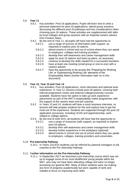# 5.8. **Year 11**

- *5.8.1.* Key activities: Post-16 applications. Pupils will learn how to write a personal statement for post-16 applications; attend group sessions discussing the different post-16 pathways and key considerations when choosing post-16 options. These activities are supplemented with talks by local colleges and group sessions with an impartial careers advisor from Positive Steps.
- *5.8.2.* By the end of Year 11, all pupils will have had the opportunity to:
	- *5.8.2.1.* use a range of sources of information (with support, as required) to explore post-16 options
	- *5.8.2.2.* attend events in school and out of school where they can speak to employers, colleges and training providers
	- *5.8.2.3.* develop their self-awareness and career management skills
	- *5.8.2.4.* apply for post-16 options and back-up plans, as necessary
	- *5.8.2.5.* continue to develop the skills needed for a successful transition
	- *5.8.2.6.* have at least one meeting (small group or one-to-one) with a careers adviser.
	- *5.8.2.7.* have the opportunity to be access the 'Preparing for Working Life' or 'Experiencing Working Life' elements of the Employability Matrix (further information later on in this document)

# 5.9. **Year 12, Year 13 and Year 14**

- *5.9.1.* Key activities: Post-18 Applications, mock interviews and optional work experience. In Year 12, lessons include post-18 options, covering both internal progression routes and external college/university courses available. Students have the option to take up work experience placements as part of the MAT's employability matrix programme, with the support of the careers team and job coaches.
- *5.9.2.* In Years 13 and 14, students will have a mock business interview, so lessons will help prepare students for this and explore how to get the most out of the experience. Students are supported through the post-18 application processes, including UCAS and apprenticeship, workrelated or college options.
- *5.9.3.* By the end of sixth form, all students will have had the opportunity to:
	- *5.9.3.1.* use a range of resources (with support, as required) to explore post-18 options
	- *5.9.3.2.* develop their self-awareness and career management skills
	- *5.9.3.3.* develop further experience in the workplace (optional)
	- *5.9.3.4.* attend events in school and out of school where they can speak to employers, colleges, training providers and universities

### 5.10. **Pre-Internship Pathway**

*5.10.1.* In Years 12/13/14 students can be referred by pastoral managers or job coaches to the Pre Internship Pathway.

### 5.11. F**urther information on the Pre-Internship Pathway**

*5.11.1.* In September 2017 we launched a pre-internship course which was set up to engage some of our most disaffected young people within the MAT, who may not have been attending college and were no longer accessing our general offer. Many of these students were not making any form of progress academically but were capable of work and needed to focus on improving work skills.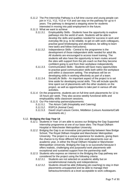- *5.11.2.* The Pre-Internship Pathway is a full time course and young people can join in Y11, Y12, Y13 or Y14 and can stay on the pathway for up to 4 years. The pathway is designed a stepping stone for students interested in moving into paid employment in the future.
- *5.11.3.* What we want to achieve
	- *5.11.3.1.* Employability Skills Students have the opportunity to explore pathways into the world of work. Students will be able to develop the skills and qualities needed for success in work and everyday life (e.g. to be reliable, to get on with work colleagues, practise good timekeeping and attendance, be willing to learn new tasks and follow instructions).
	- *5.11.3.2.* Independence Skills Central to the programme is the development of those independent skills needed for adult life. All students are encouraged to access travel training. The students will also have the opportunity to learn routes around the sites with support from the job coach so that they become confident going to and from their workplace independently.
	- *5.11.3.3.* Communication Skills Students will have many opportunities to practise good communication skills both within the workplace and within a classroom setting. The emphasis will be on developing skills in working effectively as part of a team.
	- *5.11.3.4.* Social/Life Skills An important aspect of the project is to set time aside for developing social skills. This will include specific time spent out of placements with the other students on the project, as well as opportunities to take part in various off-site activities.
- *5.11.4.* On the programme, students are on full time work placements for 12 to 16 hours per week. They also access weekly functional skills and employability skills classroom sessions.
- *5.11.5.* Our Pre-Internship partners/placements:
	- *5.11.5.1.* The Atrium Café (Hospitality and Catering)
	- *5.11.5.2.* RSPCA (Animal Care)
	- *5.11.5.3.* David Lloyd Leisure Centre, Middleton (Leisure Assistants/Café Assistants etc.)

# 5.12. **Bridging the Gap Year 14**

- *5.12.1.* Students in Year 14 are able to access our Bridging the Gap Supported Internship programme at one of our base sites: The Royal Oldham Hospital or Manchester Metropolitan University.
- *5.12.2.* Bridging the Gap is an innovative joint partnership between New Bridge School, The Royal Oldham Hospital and Manchester Metropolitan University. The project is a unique experience for students, giving them the chance to try three different full time work placements over an academic year, in either the Royal Oldham Hospital or Manchester Metropolitan University. Bridging the Gap is so successful because it offers realistic, challenging and purposeful work placements with exceptional and sustained support from the partnership staff.
- *5.12.3.* Students who express an interest in the Bridging the Gap pathway are considered for the project using the following criteria:
	- *5.12.3.1.* Students are not selected on academic ability but on social/emotional maturity and independence.
	- *5.12.3.2.* Students should be able (following job coaching) to stay in their placements unsupported and be able to manage their behaviour/emotions at a level acceptable to work colleagues.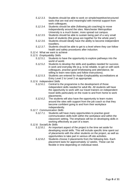- *5.12.3.3.* Students should be able to work on simple/repetitive/structured tasks that are real and meaningful with minimal support from work colleagues.
- *5.12.3.4.* Students should be able (following job coaching) to move independently around the sites. Manchester Metropolitan University is a much busier, more spread out campus.
- *5.12.3.5.* Students should be able to sustain being part of a very small team of students (the group are together for the whole year!)
- *5.12.3.6.* Students should ideally have the ability to become independent travellers.
- *5.12.3.7.* Students should be able to get to a level where they can follow health and safety procedures after induction.
- *5.12.4.* What we want to achieve
- *5.12.5. Employability Skills*
	- *5.12.5.1.* Students to have the opportunity to explore pathways into the world of world.
	- *5.12.5.2.* Students to develop the skills and qualities needed for success in work and everyday life (e.g. to be reliable, to get on with work colleagues, practise good timekeeping and attendance, be willing to learn new tasks and follow instructions).
	- *5.12.5.3.* Students are entered for Asdan Employability accreditations at Entry Level 2 to Level 2 as appropriate.
- *5.12.6. Independent Skills*
	- *5.12.6.1.* Central to the programme is the development of those independent skills needed for adult life. All students will have the opportunity to work with our travel trainers on independent travel skills particularly on the route to and from home to work placements.
	- *5.12.6.2.* The students will also have the opportunity to learn routes around the sites with support from the job coach so that they become confident going to and from their workplace independently.
- *5.12.7. Communication Skills*
	- *5.12.7.1.* Students will have many opportunities to practise good communication skills both within the workplace and within the classroom setting. The emphasis will be on developing skills in working effectively as part of a team.
- *5.12.8. Social/Life Skills*
	- *5.12.8.1.* An important aspect of the project is the time set aside for developing social skills. This will include specific time spent out of placements with the other students on the project, as well as opportunities to take part in various off-site activities.
	- *5.12.8.2.* Students choose 3 placements from the following lists. Each placement lasts for approximately 12 weeks. These can be flexible in time depending on individual need.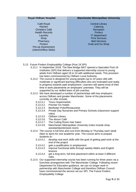## **Royal Oldham Hospital**

Café Royal Kitchen Christie's Café Health Records Laundry Shop **Pharmacy Porters** Pre-op Assessment (Admin/Office Skills)

## **Manchester Metropolitan University**

Central Library **Catering Reception Porters** IT department Print Services Mail Services Grab and Go Shop

- 5.13. Future Finders Employability College (Post 19 SPI)
	- *5.13.1.* In September 2018, The New Bridge MAT opened a Specialist Post-16 Institution (SPI) that delivers a supported internship course to young adults from Oldham aged 18 to 24 with additional needs. This provision has been commissioned by Oldham Local Authority.
	- *5.13.2.* The course is designed for young people (up to 24 years old) with moderate or significant learning difficulties who are motivated and ready to progress towards paid employment. Learners will spend most of their time in work placements on employers' premises. They will be supported by our skilled team of job coaches.
	- *5.13.3.* We have developed a number of partnerships with key employers across Oldham and greater Manchester. Some of the placements currently on offer include:
		- *5.13.3.1.* Tesco Supermarket
		- *5.13.3.2.* Premier Inn Hotels
		- *5.13.3.3.* Beefeater Pubs/Restaurants
		- *5.13.3.4.* Private Day Nurseries and Primary Schools (classroom support roles)
		- *5.13.3.5.* Oldham Library
		- *5.13.3.6.* The Atrium Café
		- *5.13.3.7.* The Cutting Room Hair Salon
		- *5.13.3.8.* Manchester Metropolitan University (roles include shop assistant/porter/post room).
	- *5.13.4.* The course is full time and runs from Monday to Thursday each week (9am to 3pm) for one academic year. The course aims to prepare students to:
		- *5.13.4.1.* develop real work skills with the goal of getting paid work at the end of the project
		- *5.13.4.2.* gain a qualification in employment
		- *5.13.4.3.* improve functional skills through weekly Maths and English lessons
		- *5.13.4.4.* get a long term, full time placement within at least 3 different roles
	- *5.13.5.* Our supported internship course has been running for three years via a franchise arrangement with The Manchester College. Following recent Department for Education guidance, we can no longer work in partnership with Manchester College and therefore Oldham Council have commissioned the service via our SPI, The Future Finders Employability College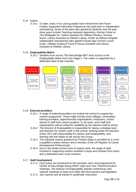# 5.14. Impact

*5.14.1.* To date, many of our young people have moved from the Future Finders Supported Internship Programme into paid work or independent volunteering. Some of the paid roles gained by students over the past three years include Teaching Assistant Apprentice, Kitchen Porter at The Whitegate Inn, Admin Assistant for Oldham Plastics, Nursery Nurse, Library Assistant at Oldham Library, Porter at Oldham Hospital. Independent volunteering roles gained include Age Concern Lunch Clubs, Oldham Coliseum Front of House Assistant and Library Assistant at Oldham Library.

# 5.15. **Employability Matrix**

*5.15.1.* Students from across The New Bridge MAT have access to the Employability Matrix from Key Stage 4. The matrix is supported by a dedicated team of job coaches.



# 5.16. **External providers**

- *5.16.1.* A range of external providers are invited into school to support the careers programme. These might include local colleges, universities, training providers, apprenticeship organisations, employers, school alumni or staff from various projects. In all cases, such staff and organisations will be vetted for suitability by the relevant staff at school.
- *5.16.2.* The Director of Employability is responsible for taking a strategic lead and direction for careers work in the school; working under the direction of the CEO with responsibility for careers and employability, and working with the heads of site across the Group.
- *5.16.3.* The impartial careers guidance by Positive Steps is provided by a Level 6 qualified Careers Adviser and a member of the *UK Register of Career Development Professionals.*
- *5.16.4.* Due to the whole-school remit of careers work, the range of staff involved in supporting careers activities is large and includes form tutors and a dedicated team of job coaches.

# 5.17. **Staff Development**

- *5.17.1.* Form tutors are introduced to the concepts, aims and programme for CEIAG at New Bridge during INSET days and Year Team/Curriculum meetings. The Director of Employability attends conferences and network meetings to keep up to date with best practice and legislation
- *5.17.2.* Job coaches are all trained in systematic instruction.